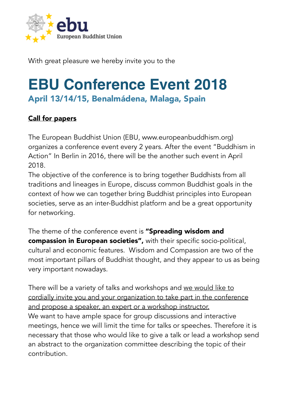

With great pleasure we hereby invite you to the

## **EBU Conference Event 2018** April 13/14/15, Benalmádena, Malaga, Spain

## Call for papers

The European Buddhist Union (EBU, www.europeanbuddhism.org) organizes a conference event every 2 years. After the event "Buddhism in Action" In Berlin in 2016, there will be the another such event in April 2018.

The objective of the conference is to bring together Buddhists from all traditions and lineages in Europe, discuss common Buddhist goals in the context of how we can together bring Buddhist principles into European societies, serve as an inter-Buddhist platform and be a great opportunity for networking.

The theme of the conference event is "Spreading wisdom and compassion in European societies", with their specific socio-political, cultural and economic features. Wisdom and Compassion are two of the most important pillars of Buddhist thought, and they appear to us as being very important nowadays.

There will be a variety of talks and workshops and we would like to cordially invite you and your organization to take part in the conference and propose a speaker, an expert or a workshop instructor. We want to have ample space for group discussions and interactive meetings, hence we will limit the time for talks or speeches. Therefore it is necessary that those who would like to give a talk or lead a workshop send an abstract to the organization committee describing the topic of their contribution.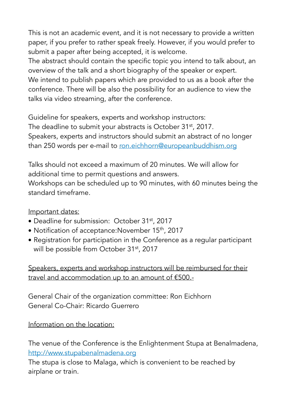This is not an academic event, and it is not necessary to provide a written paper, if you prefer to rather speak freely. However, if you would prefer to submit a paper after being accepted, it is welcome.

The abstract should contain the specific topic you intend to talk about, an overview of the talk and a short biography of the speaker or expert. We intend to publish papers which are provided to us as a book after the conference. There will be also the possibility for an audience to view the talks via video streaming, after the conference.

Guideline for speakers, experts and workshop instructors: The deadline to submit your abstracts is October 31<sup>st</sup>, 2017. Speakers, experts and instructors should submit an abstract of no longer than 250 words per e-mail to [ron.eichhorn@europeanbuddhism.org](mailto:ron.eichhorn@europeanbuddhism.org)

Talks should not exceed a maximum of 20 minutes. We will allow for additional time to permit questions and answers. Workshops can be scheduled up to 90 minutes, with 60 minutes being the standard timeframe.

Important dates:

- Deadline for submission: October 31<sup>st</sup>, 2017
- Notification of acceptance: November 15<sup>th</sup>, 2017
- Registration for participation in the Conference as a regular participant will be possible from October 31<sup>st</sup>, 2017

Speakers, experts and workshop instructors will be reimbursed for their travel and accommodation up to an amount of €500.-

General Chair of the organization committee: Ron Eichhorn General Co-Chair: Ricardo Guerrero

Information on the location:

The venue of the Conference is the Enlightenment Stupa at Benalmadena, <http://www.stupabenalmadena.org>

The stupa is close to Malaga, which is convenient to be reached by airplane or train.